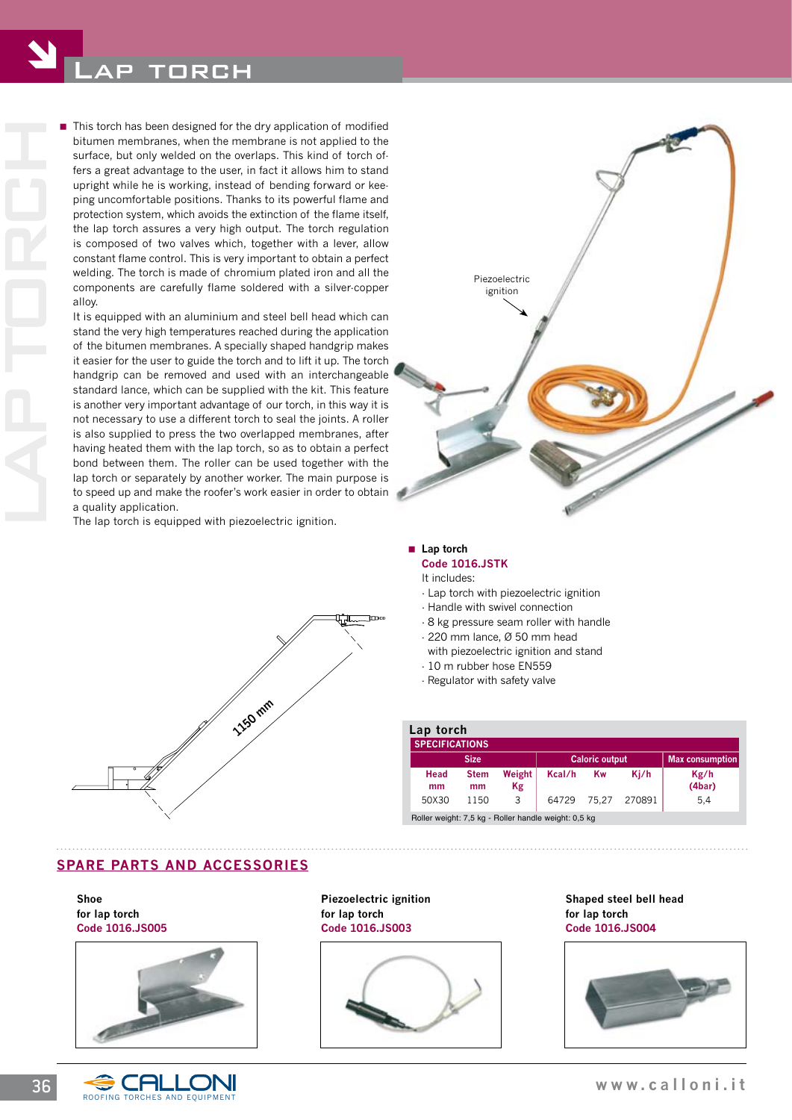bitumen membranes, when the membrane is not applied to the surface, but only welded on the overlaps. This kind of torch offers a great advantage to the user, in fact it allows him to stand upright while he is working, instead of bending forward or keeping uncomfortable positions. Thanks to its powerful flame and protection system, which avoids the extinction of the flame itself, the lap torch assures a very high output. The torch regulation is composed of two valves which, together with a lever, allow constant flame control. This is very important to obtain a perfect welding. The torch is made of chromium plated iron and all the components are carefully flame soldered with a silver-copper alloy.

**IF** This torch has been designed for the dry application of modified<br>bittmen membranes, when the membrane is not applied to the<br>surface, but only welded on the overlaps. This kind of torch of-<br>fers a great advantage to t It is equipped with an aluminium and steel bell head which can stand the very high temperatures reached during the application of the bitumen membranes. A specially shaped handgrip makes it easier for the user to guide the torch and to lift it up. The torch handgrip can be removed and used with an interchangeable standard lance, which can be supplied with the kit. This feature is another very important advantage of our torch, in this way it is not necessary to use a different torch to seal the joints. A roller is also supplied to press the two overlapped membranes, after having heated them with the lap torch, so as to obtain a perfect bond between them. The roller can be used together with the lap torch or separately by another worker. The main purpose is to speed up and make the roofer's work easier in order to obtain a quality application.

 The lap torch is equipped with piezoelectric ignition.





#### ■ Lap torch **Code 1016.JSTK**

- It includes:
- Lap torch with piezoelectric ignition
- Handle with swivel connection
- 8 kg pressure seam roller with handle
- 220 mm lance, Ø 50 mm head
- with piezoelectric ignition and stand
- 10 m rubber hose EN559
- Regulator with safety valve

| Lap torch<br><b>SPECIFICATIONS</b>                   |                   |              |                       |       |        |                        |
|------------------------------------------------------|-------------------|--------------|-----------------------|-------|--------|------------------------|
| <b>Size</b>                                          |                   |              | <b>Caloric output</b> |       |        | <b>Max consumption</b> |
| Head<br>mm                                           | <b>Stem</b><br>mm | Weight<br>Kg | Kcal/h                | Kw    | Ki/h   | Kg/h<br>(4bar)         |
| 50X30                                                | 1150              | 3            | 64729                 | 75.27 | 270891 | 5,4                    |
| Roller weight: 7,5 kg - Roller handle weight: 0,5 kg |                   |              |                       |       |        |                        |

## **SPARE PARTS AND ACCESSORIES**

**Shoe for lap torch code 1016.JS005**





**Piezoelectric ignition for lap torch code 1016.JS003**



**Shaped steel bell head for lap torch code 1016.JS004**